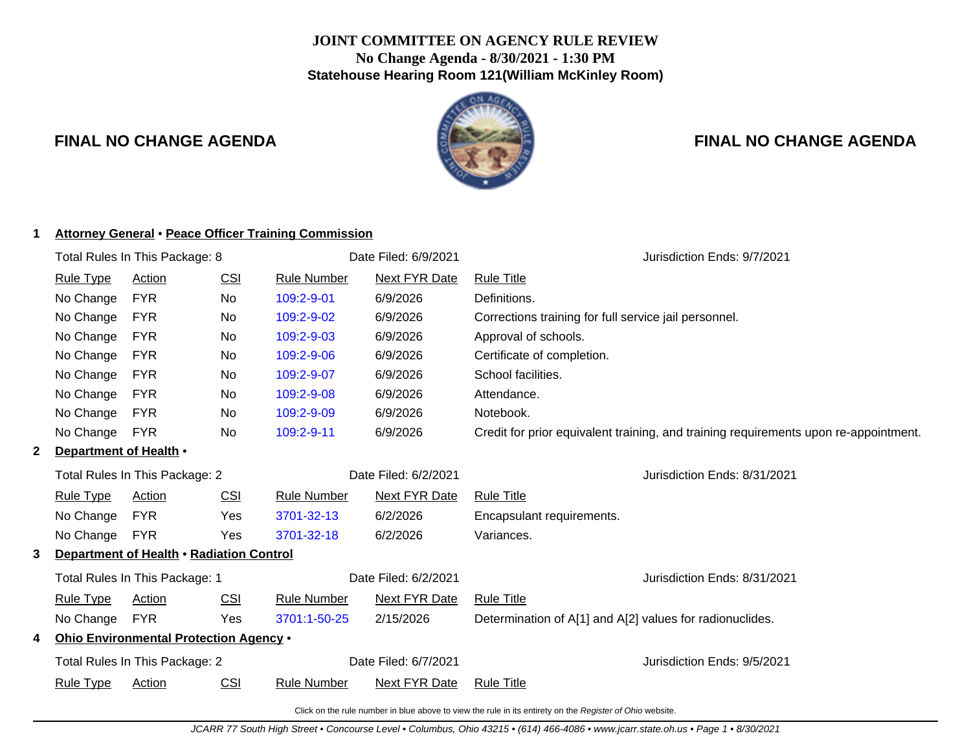# **JOINT COMMITTEE ON AGENCY RULE REVIEW No Change Agenda - 8/30/2021 - 1:30 PM Statehouse Hearing Room 121(William McKinley Room)**



# **FINAL NO CHANGE AGENDA FINAL NO CHANGE AGENDA**

# **1 Attorney General** • **Peace Officer Training Commission**

|   | Total Rules In This Package: 8           |                                        |                      | Date Filed: 6/9/2021 | Jurisdiction Ends: 9/7/2021  |                                                                                      |  |
|---|------------------------------------------|----------------------------------------|----------------------|----------------------|------------------------------|--------------------------------------------------------------------------------------|--|
|   | <b>Rule Type</b>                         | <b>Action</b>                          | <u>CSI</u>           | <b>Rule Number</b>   | <b>Next FYR Date</b>         | <b>Rule Title</b>                                                                    |  |
|   | No Change                                | <b>FYR</b>                             | No                   | 109:2-9-01           | 6/9/2026                     | Definitions.                                                                         |  |
|   | No Change                                | <b>FYR</b>                             | No                   | 109:2-9-02           | 6/9/2026                     | Corrections training for full service jail personnel.                                |  |
|   | No Change                                | <b>FYR</b>                             | No                   | 109:2-9-03           | 6/9/2026                     | Approval of schools.                                                                 |  |
|   | No Change                                | <b>FYR</b>                             | No                   | 109:2-9-06           | 6/9/2026                     | Certificate of completion.                                                           |  |
|   | No Change                                | <b>FYR</b>                             | No                   | 109:2-9-07           | 6/9/2026                     | School facilities.                                                                   |  |
|   | No Change                                | <b>FYR</b>                             | No                   | 109:2-9-08           | 6/9/2026                     | Attendance.                                                                          |  |
|   | No Change                                | <b>FYR</b>                             | No                   | 109:2-9-09           | 6/9/2026                     | Notebook.                                                                            |  |
|   | No Change                                | <b>FYR</b>                             | No.                  | 109:2-9-11           | 6/9/2026                     | Credit for prior equivalent training, and training requirements upon re-appointment. |  |
| 2 | Department of Health •                   |                                        |                      |                      |                              |                                                                                      |  |
|   | Total Rules In This Package: 2           |                                        |                      | Date Filed: 6/2/2021 | Jurisdiction Ends: 8/31/2021 |                                                                                      |  |
|   | <b>Rule Type</b>                         | Action                                 | CSI                  | <b>Rule Number</b>   | <b>Next FYR Date</b>         | <b>Rule Title</b>                                                                    |  |
|   | No Change                                | <b>FYR</b>                             | Yes                  | 3701-32-13           | 6/2/2026                     | Encapsulant requirements.                                                            |  |
|   | No Change                                | <b>FYR</b>                             | Yes                  | 3701-32-18           | 6/2/2026                     | Variances.                                                                           |  |
| 3 | Department of Health . Radiation Control |                                        |                      |                      |                              |                                                                                      |  |
|   | Total Rules In This Package: 1           |                                        | Date Filed: 6/2/2021 |                      | Jurisdiction Ends: 8/31/2021 |                                                                                      |  |
|   | <b>Rule Type</b>                         | Action                                 | <u>CSI</u>           | <b>Rule Number</b>   | <b>Next FYR Date</b>         | <b>Rule Title</b>                                                                    |  |
|   | No Change                                | <b>FYR</b>                             | Yes                  | 3701:1-50-25         | 2/15/2026                    | Determination of A[1] and A[2] values for radionuclides.                             |  |
| 4 |                                          | Ohio Environmental Protection Agency . |                      |                      |                              |                                                                                      |  |
|   |                                          | Total Rules In This Package: 2         |                      | Date Filed: 6/7/2021 |                              | Jurisdiction Ends: 9/5/2021                                                          |  |
|   | <b>Rule Type</b>                         | <b>Action</b>                          | <u>CSI</u>           | <b>Rule Number</b>   | <b>Next FYR Date</b>         | <b>Rule Title</b>                                                                    |  |
|   |                                          |                                        |                      |                      |                              |                                                                                      |  |

Click on the rule number in blue above to view the rule in its entirety on the Register of Ohio website.

JCARR 77 South High Street • Concourse Level • Columbus, Ohio 43215 • (614) 466-4086 • www.jcarr.state.oh.us • Page 1 • 8/30/2021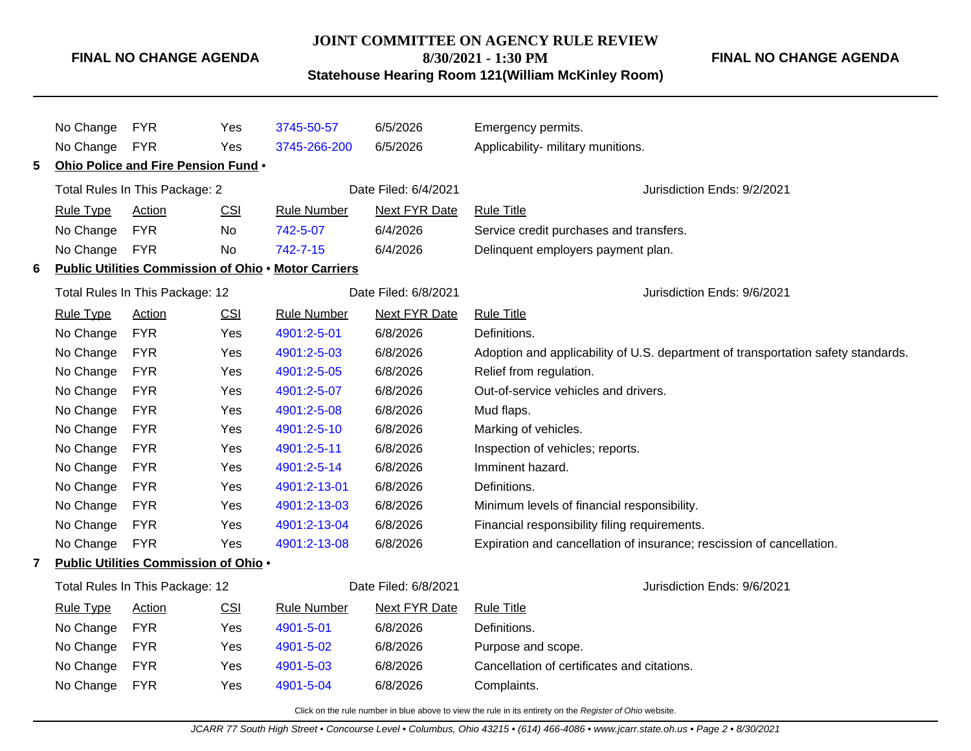# **JOINT COMMITTEE ON AGENCY RULE REVIEW 8/30/2021 - 1:30 PM**

**FINAL NO CHANGE AGENDA**

**Statehouse Hearing Room 121(William McKinley Room)**

|              | No Change                       | <b>FYR</b>                                   | Yes        | 3745-50-57                                                  | 6/5/2026                    | Emergency permits.                                                                |
|--------------|---------------------------------|----------------------------------------------|------------|-------------------------------------------------------------|-----------------------------|-----------------------------------------------------------------------------------|
|              | No Change                       | <b>FYR</b>                                   | Yes        | 3745-266-200                                                | 6/5/2026                    | Applicability- military munitions.                                                |
| 5.           |                                 | Ohio Police and Fire Pension Fund .          |            |                                                             |                             |                                                                                   |
|              |                                 | Total Rules In This Package: 2               |            | Date Filed: 6/4/2021                                        |                             | Jurisdiction Ends: 9/2/2021                                                       |
|              | <b>Rule Type</b>                | Action                                       | <b>CSI</b> | <b>Rule Number</b>                                          | <b>Next FYR Date</b>        | <b>Rule Title</b>                                                                 |
|              | No Change                       | <b>FYR</b>                                   | <b>No</b>  | 742-5-07                                                    | 6/4/2026                    | Service credit purchases and transfers.                                           |
|              | No Change                       | <b>FYR</b>                                   | No         | 742-7-15                                                    | 6/4/2026                    | Delinquent employers payment plan.                                                |
| 6            |                                 |                                              |            | <b>Public Utilities Commission of Ohio . Motor Carriers</b> |                             |                                                                                   |
|              |                                 | Total Rules In This Package: 12              |            |                                                             | Date Filed: 6/8/2021        | Jurisdiction Ends: 9/6/2021                                                       |
|              | <b>Rule Type</b>                | <b>Action</b>                                | <b>CSI</b> | <b>Rule Number</b>                                          | <b>Next FYR Date</b>        | <b>Rule Title</b>                                                                 |
|              | No Change                       | <b>FYR</b>                                   | <b>Yes</b> | 4901:2-5-01                                                 | 6/8/2026                    | Definitions.                                                                      |
|              | No Change                       | <b>FYR</b>                                   | Yes        | 4901:2-5-03                                                 | 6/8/2026                    | Adoption and applicability of U.S. department of transportation safety standards. |
|              | No Change                       | <b>FYR</b>                                   | Yes        | 4901:2-5-05                                                 | 6/8/2026                    | Relief from regulation.                                                           |
|              | No Change                       | <b>FYR</b>                                   | Yes        | 4901:2-5-07                                                 | 6/8/2026                    | Out-of-service vehicles and drivers.                                              |
|              | No Change                       | <b>FYR</b>                                   | Yes        | 4901:2-5-08                                                 | 6/8/2026                    | Mud flaps.                                                                        |
|              | No Change                       | <b>FYR</b>                                   | Yes        | 4901:2-5-10                                                 | 6/8/2026                    | Marking of vehicles.                                                              |
|              | No Change                       | <b>FYR</b>                                   | Yes        | 4901:2-5-11                                                 | 6/8/2026                    | Inspection of vehicles; reports.                                                  |
|              | No Change                       | <b>FYR</b>                                   | Yes        | 4901:2-5-14                                                 | 6/8/2026                    | Imminent hazard.                                                                  |
|              | No Change                       | <b>FYR</b>                                   | <b>Yes</b> | 4901:2-13-01                                                | 6/8/2026                    | Definitions.                                                                      |
|              | No Change                       | <b>FYR</b>                                   | Yes        | 4901:2-13-03                                                | 6/8/2026                    | Minimum levels of financial responsibility.                                       |
|              | No Change                       | <b>FYR</b>                                   | Yes        | 4901:2-13-04                                                | 6/8/2026                    | Financial responsibility filing requirements.                                     |
|              | No Change                       | <b>FYR</b>                                   | Yes        | 4901:2-13-08                                                | 6/8/2026                    | Expiration and cancellation of insurance; rescission of cancellation.             |
| $\mathbf{7}$ |                                 | <b>Public Utilities Commission of Ohio .</b> |            |                                                             |                             |                                                                                   |
|              | Total Rules In This Package: 12 |                                              |            | Date Filed: 6/8/2021                                        | Jurisdiction Ends: 9/6/2021 |                                                                                   |
|              | <b>Rule Type</b>                | <b>Action</b>                                | <b>CSI</b> | <b>Rule Number</b>                                          | <b>Next FYR Date</b>        | <b>Rule Title</b>                                                                 |
|              | No Change                       | <b>FYR</b>                                   | Yes        | 4901-5-01                                                   | 6/8/2026                    | Definitions.                                                                      |
|              | No Change                       | <b>FYR</b>                                   | Yes        | 4901-5-02                                                   | 6/8/2026                    | Purpose and scope.                                                                |
|              | No Change                       | <b>FYR</b>                                   | Yes        | 4901-5-03                                                   | 6/8/2026                    | Cancellation of certificates and citations.                                       |
|              | No Change                       | <b>FYR</b>                                   | Yes        | 4901-5-04                                                   | 6/8/2026                    | Complaints.                                                                       |
|              |                                 |                                              |            |                                                             |                             |                                                                                   |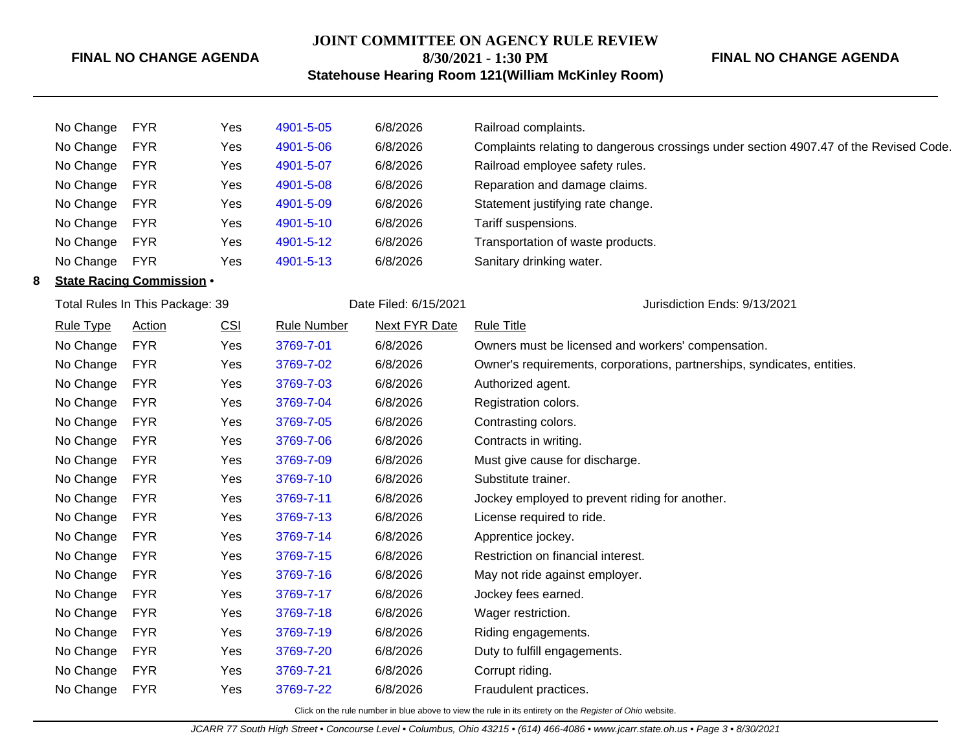# **JOINT COMMITTEE ON AGENCY RULE REVIEW 8/30/2021 - 1:30 PM**

# **FINAL NO CHANGE AGENDA**

**Statehouse Hearing Room 121(William McKinley Room)**

|   | No Change        | <b>FYR</b>                       | Yes | 4901-5-05          | 6/8/2026              | Railroad complaints.                                                                  |
|---|------------------|----------------------------------|-----|--------------------|-----------------------|---------------------------------------------------------------------------------------|
|   | No Change        | <b>FYR</b>                       | Yes | 4901-5-06          | 6/8/2026              | Complaints relating to dangerous crossings under section 4907.47 of the Revised Code. |
|   | No Change        | <b>FYR</b>                       | Yes | 4901-5-07          | 6/8/2026              | Railroad employee safety rules.                                                       |
|   | No Change        | <b>FYR</b>                       | Yes | 4901-5-08          | 6/8/2026              | Reparation and damage claims.                                                         |
|   | No Change        | <b>FYR</b>                       | Yes | 4901-5-09          | 6/8/2026              | Statement justifying rate change.                                                     |
|   | No Change        | <b>FYR</b>                       | Yes | 4901-5-10          | 6/8/2026              | Tariff suspensions.                                                                   |
|   | No Change        | <b>FYR</b>                       | Yes | 4901-5-12          | 6/8/2026              | Transportation of waste products.                                                     |
|   | No Change        | <b>FYR</b>                       | Yes | 4901-5-13          | 6/8/2026              | Sanitary drinking water.                                                              |
| 8 |                  | <b>State Racing Commission .</b> |     |                    |                       |                                                                                       |
|   |                  | Total Rules In This Package: 39  |     |                    | Date Filed: 6/15/2021 | Jurisdiction Ends: 9/13/2021                                                          |
|   | <b>Rule Type</b> | <b>Action</b>                    | CSI | <b>Rule Number</b> | <b>Next FYR Date</b>  | <b>Rule Title</b>                                                                     |
|   | No Change        | <b>FYR</b>                       | Yes | 3769-7-01          | 6/8/2026              | Owners must be licensed and workers' compensation.                                    |
|   | No Change        | <b>FYR</b>                       | Yes | 3769-7-02          | 6/8/2026              | Owner's requirements, corporations, partnerships, syndicates, entities.               |
|   | No Change        | <b>FYR</b>                       | Yes | 3769-7-03          | 6/8/2026              | Authorized agent.                                                                     |
|   | No Change        | <b>FYR</b>                       | Yes | 3769-7-04          | 6/8/2026              | Registration colors.                                                                  |
|   | No Change        | <b>FYR</b>                       | Yes | 3769-7-05          | 6/8/2026              | Contrasting colors.                                                                   |
|   | No Change        | <b>FYR</b>                       | Yes | 3769-7-06          | 6/8/2026              | Contracts in writing.                                                                 |
|   | No Change        | <b>FYR</b>                       | Yes | 3769-7-09          | 6/8/2026              | Must give cause for discharge.                                                        |
|   | No Change        | <b>FYR</b>                       | Yes | 3769-7-10          | 6/8/2026              | Substitute trainer.                                                                   |
|   | No Change        | <b>FYR</b>                       | Yes | 3769-7-11          | 6/8/2026              | Jockey employed to prevent riding for another.                                        |
|   | No Change        | <b>FYR</b>                       | Yes | 3769-7-13          | 6/8/2026              | License required to ride.                                                             |
|   | No Change        | <b>FYR</b>                       | Yes | 3769-7-14          | 6/8/2026              | Apprentice jockey.                                                                    |
|   | No Change        | <b>FYR</b>                       | Yes | 3769-7-15          | 6/8/2026              | Restriction on financial interest.                                                    |
|   | No Change        | <b>FYR</b>                       | Yes | 3769-7-16          | 6/8/2026              | May not ride against employer.                                                        |
|   | No Change        | <b>FYR</b>                       | Yes | 3769-7-17          | 6/8/2026              | Jockey fees earned.                                                                   |
|   | No Change        | <b>FYR</b>                       | Yes | 3769-7-18          | 6/8/2026              | Wager restriction.                                                                    |
|   | No Change        | <b>FYR</b>                       | Yes | 3769-7-19          | 6/8/2026              | Riding engagements.                                                                   |
|   | No Change        | <b>FYR</b>                       | Yes | 3769-7-20          | 6/8/2026              | Duty to fulfill engagements.                                                          |
|   | No Change        | <b>FYR</b>                       | Yes | 3769-7-21          | 6/8/2026              | Corrupt riding.                                                                       |
|   | No Change        | <b>FYR</b>                       | Yes | 3769-7-22          | 6/8/2026              | Fraudulent practices.                                                                 |
|   |                  |                                  |     |                    |                       |                                                                                       |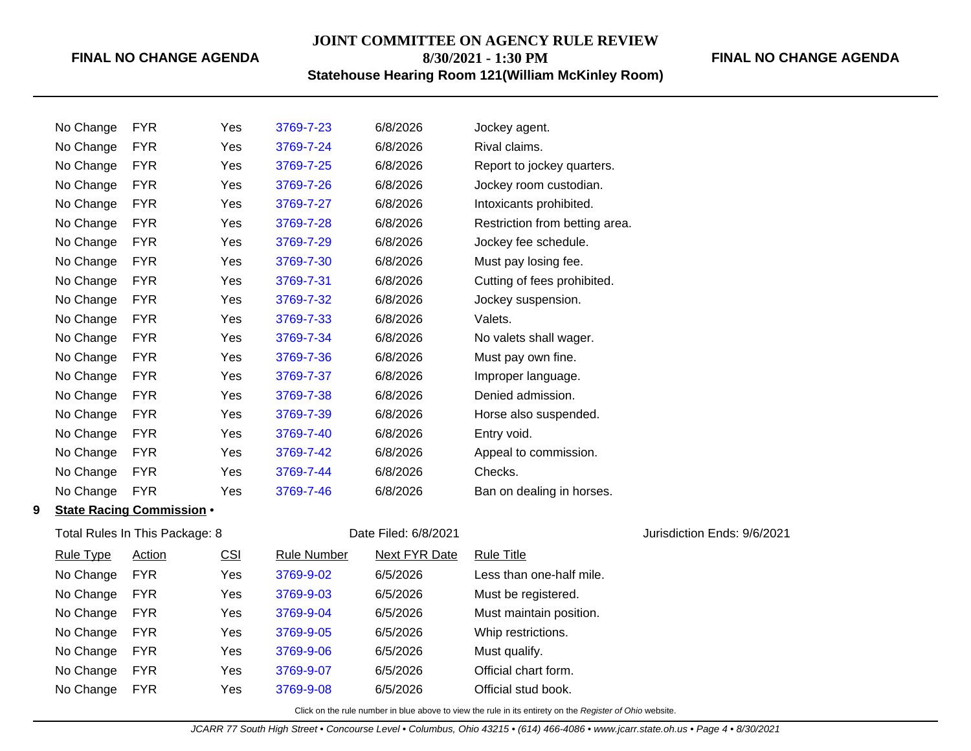# **JOINT COMMITTEE ON AGENCY RULE REVIEW**

**8/30/2021 - 1:30 PM**

# **Statehouse Hearing Room 121(William McKinley Room)**

### **FINAL NO CHANGE AGENDA**

|   | No Change        | <b>FYR</b>                       | Yes | 3769-7-23          | 6/8/2026             | Jockey agent.                  |                             |
|---|------------------|----------------------------------|-----|--------------------|----------------------|--------------------------------|-----------------------------|
|   | No Change        | <b>FYR</b>                       | Yes | 3769-7-24          | 6/8/2026             | Rival claims.                  |                             |
|   | No Change        | <b>FYR</b>                       | Yes | 3769-7-25          | 6/8/2026             | Report to jockey quarters.     |                             |
|   | No Change        | <b>FYR</b>                       | Yes | 3769-7-26          | 6/8/2026             | Jockey room custodian.         |                             |
|   | No Change        | <b>FYR</b>                       | Yes | 3769-7-27          | 6/8/2026             | Intoxicants prohibited.        |                             |
|   | No Change        | <b>FYR</b>                       | Yes | 3769-7-28          | 6/8/2026             | Restriction from betting area. |                             |
|   | No Change        | <b>FYR</b>                       | Yes | 3769-7-29          | 6/8/2026             | Jockey fee schedule.           |                             |
|   | No Change        | <b>FYR</b>                       | Yes | 3769-7-30          | 6/8/2026             | Must pay losing fee.           |                             |
|   | No Change        | <b>FYR</b>                       | Yes | 3769-7-31          | 6/8/2026             | Cutting of fees prohibited.    |                             |
|   | No Change        | <b>FYR</b>                       | Yes | 3769-7-32          | 6/8/2026             | Jockey suspension.             |                             |
|   | No Change        | <b>FYR</b>                       | Yes | 3769-7-33          | 6/8/2026             | Valets.                        |                             |
|   | No Change        | <b>FYR</b>                       | Yes | 3769-7-34          | 6/8/2026             | No valets shall wager.         |                             |
|   | No Change        | <b>FYR</b>                       | Yes | 3769-7-36          | 6/8/2026             | Must pay own fine.             |                             |
|   | No Change        | <b>FYR</b>                       | Yes | 3769-7-37          | 6/8/2026             | Improper language.             |                             |
|   | No Change        | <b>FYR</b>                       | Yes | 3769-7-38          | 6/8/2026             | Denied admission.              |                             |
|   | No Change        | <b>FYR</b>                       | Yes | 3769-7-39          | 6/8/2026             | Horse also suspended.          |                             |
|   | No Change        | <b>FYR</b>                       | Yes | 3769-7-40          | 6/8/2026             | Entry void.                    |                             |
|   | No Change        | <b>FYR</b>                       | Yes | 3769-7-42          | 6/8/2026             | Appeal to commission.          |                             |
|   | No Change        | <b>FYR</b>                       | Yes | 3769-7-44          | 6/8/2026             | Checks.                        |                             |
|   | No Change        | <b>FYR</b>                       | Yes | 3769-7-46          | 6/8/2026             | Ban on dealing in horses.      |                             |
| 9 |                  | <b>State Racing Commission .</b> |     |                    |                      |                                |                             |
|   |                  | Total Rules In This Package: 8   |     |                    | Date Filed: 6/8/2021 |                                | Jurisdiction Ends: 9/6/2021 |
|   | <b>Rule Type</b> | Action                           | CSI | <b>Rule Number</b> | <b>Next FYR Date</b> | <b>Rule Title</b>              |                             |
|   | No Change        | <b>FYR</b>                       | Yes | 3769-9-02          | 6/5/2026             | Less than one-half mile.       |                             |
|   | No Change        | <b>FYR</b>                       | Yes | 3769-9-03          | 6/5/2026             | Must be registered.            |                             |
|   | No Change        | <b>FYR</b>                       | Yes | 3769-9-04          | 6/5/2026             | Must maintain position.        |                             |
|   | No Change        | <b>FYR</b>                       | Yes | 3769-9-05          | 6/5/2026             | Whip restrictions.             |                             |
|   | No Change        | <b>FYR</b>                       | Yes | 3769-9-06          | 6/5/2026             | Must qualify.                  |                             |
|   | No Change        | <b>FYR</b>                       | Yes | 3769-9-07          | 6/5/2026             | Official chart form.           |                             |

No Change FYR Yes [3769-9-08](http://www.registerofohio.state.oh.us/jsps/publicdisplayrules/processPublicDisplayRules.jsp?entered_rule_no=3769-9-08&doWhat=GETBYRULENUM&raID=0) 6/5/2026 Official stud book.